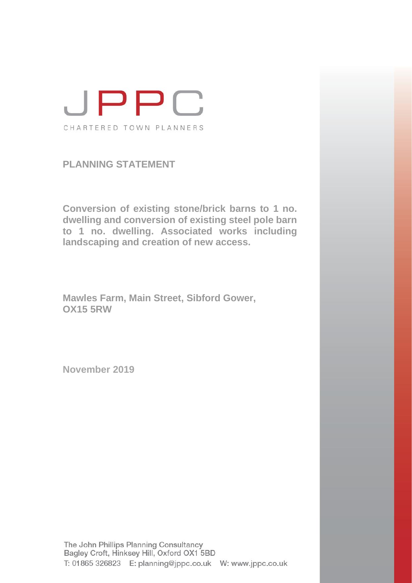

**PLANNING STATEMENT**

**Conversion of existing stone/brick barns to 1 no. dwelling and conversion of existing steel pole barn to 1 no. dwelling. Associated works including landscaping and creation of new access.**

**Mawles Farm, Main Street, Sibford Gower, OX15 5RW**

**November 2019**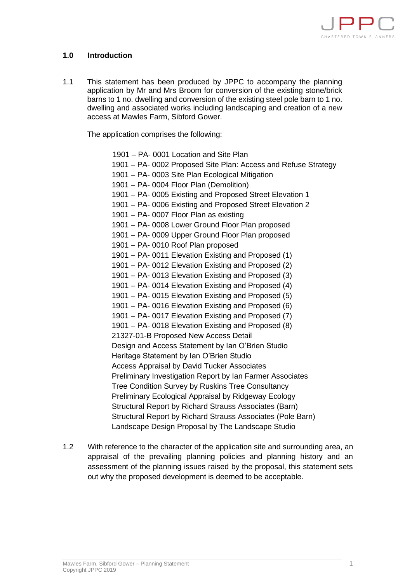

## **1.0 Introduction**

1.1 This statement has been produced by JPPC to accompany the planning application by Mr and Mrs Broom for conversion of the existing stone/brick barns to 1 no. dwelling and conversion of the existing steel pole barn to 1 no. dwelling and associated works including landscaping and creation of a new access at Mawles Farm, Sibford Gower.

The application comprises the following:

1901 – PA- 0001 Location and Site Plan 1901 – PA- 0002 Proposed Site Plan: Access and Refuse Strategy 1901 – PA- 0003 Site Plan Ecological Mitigation 1901 – PA- 0004 Floor Plan (Demolition) 1901 – PA- 0005 Existing and Proposed Street Elevation 1 1901 – PA- 0006 Existing and Proposed Street Elevation 2 1901 – PA- 0007 Floor Plan as existing 1901 – PA- 0008 Lower Ground Floor Plan proposed 1901 – PA- 0009 Upper Ground Floor Plan proposed 1901 – PA- 0010 Roof Plan proposed 1901 – PA- 0011 Elevation Existing and Proposed (1) 1901 – PA- 0012 Elevation Existing and Proposed (2) 1901 – PA- 0013 Elevation Existing and Proposed (3) 1901 – PA- 0014 Elevation Existing and Proposed (4) 1901 – PA- 0015 Elevation Existing and Proposed (5) 1901 – PA- 0016 Elevation Existing and Proposed (6) 1901 – PA- 0017 Elevation Existing and Proposed (7) 1901 – PA- 0018 Elevation Existing and Proposed (8) 21327-01-B Proposed New Access Detail Design and Access Statement by Ian O'Brien Studio Heritage Statement by Ian O'Brien Studio Access Appraisal by David Tucker Associates Preliminary Investigation Report by Ian Farmer Associates Tree Condition Survey by Ruskins Tree Consultancy Preliminary Ecological Appraisal by Ridgeway Ecology Structural Report by Richard Strauss Associates (Barn) Structural Report by Richard Strauss Associates (Pole Barn) Landscape Design Proposal by The Landscape Studio

1.2 With reference to the character of the application site and surrounding area, an appraisal of the prevailing planning policies and planning history and an assessment of the planning issues raised by the proposal, this statement sets out why the proposed development is deemed to be acceptable.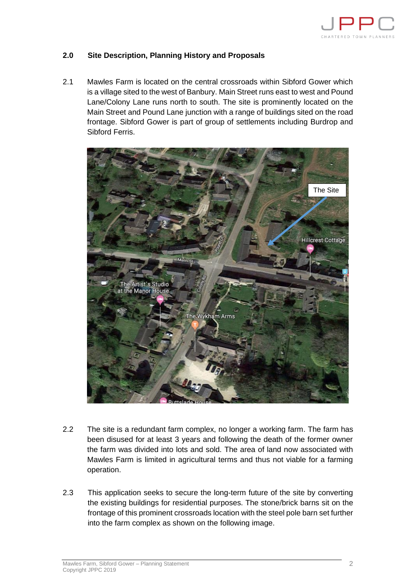

## **2.0 Site Description, Planning History and Proposals**

2.1 Mawles Farm is located on the central crossroads within Sibford Gower which is a village sited to the west of Banbury. Main Street runs east to west and Pound Lane/Colony Lane runs north to south. The site is prominently located on the Main Street and Pound Lane junction with a range of buildings sited on the road frontage. Sibford Gower is part of group of settlements including Burdrop and Sibford Ferris.



- 2.2 The site is a redundant farm complex, no longer a working farm. The farm has been disused for at least 3 years and following the death of the former owner the farm was divided into lots and sold. The area of land now associated with Mawles Farm is limited in agricultural terms and thus not viable for a farming operation.
- 2.3 This application seeks to secure the long-term future of the site by converting the existing buildings for residential purposes. The stone/brick barns sit on the frontage of this prominent crossroads location with the steel pole barn set further into the farm complex as shown on the following image.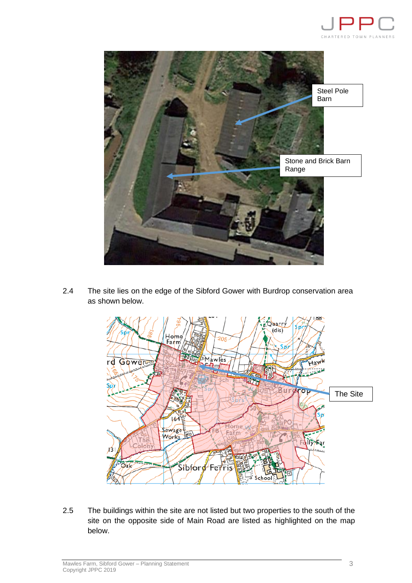



2.4 The site lies on the edge of the Sibford Gower with Burdrop conservation area as shown below.



2.5 The buildings within the site are not listed but two properties to the south of the site on the opposite side of Main Road are listed as highlighted on the map below.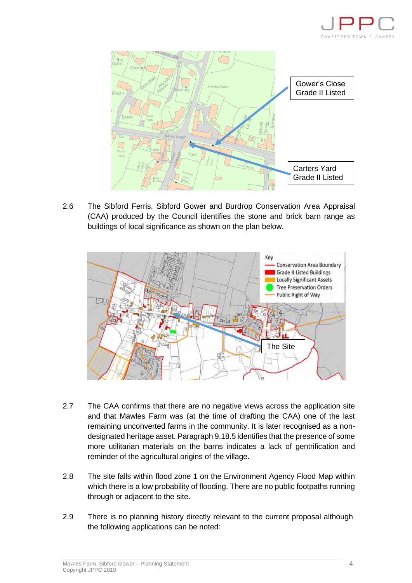



2.6 The Sibford Ferris, Sibford Gower and Burdrop Conservation Area Appraisal (CAA) produced by the Council identifies the stone and brick barn range as buildings of local significance as shown on the plan below.



- 2.7 The CAA confirms that there are no negative views across the application site and that Mawles Farm was (at the time of drafting the CAA) one of the last remaining unconverted farms in the community. It is later recognised as a nondesignated heritage asset. Paragraph 9.18.5 identifies that the presence of some more utilitarian materials on the barns indicates a lack of gentrification and reminder of the agricultural origins of the village.
- 2.8 The site falls within flood zone 1 on the Environment Agency Flood Map within which there is a low probability of flooding. There are no public footpaths running through or adjacent to the site.
- 2.9 There is no planning history directly relevant to the current proposal although the following applications can be noted: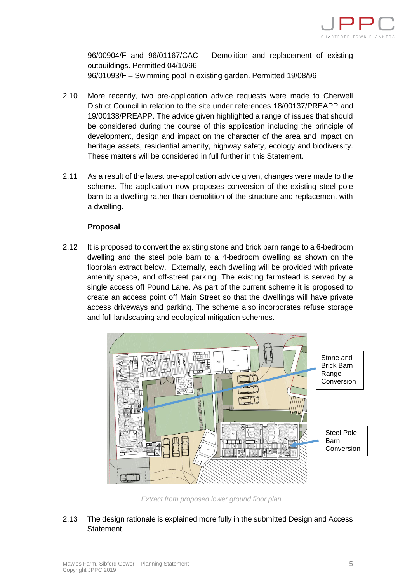

96/00904/F and 96/01167/CAC – Demolition and replacement of existing outbuildings. Permitted 04/10/96 96/01093/F – Swimming pool in existing garden. Permitted 19/08/96

- 2.10 More recently, two pre-application advice requests were made to Cherwell District Council in relation to the site under references 18/00137/PREAPP and 19/00138/PREAPP. The advice given highlighted a range of issues that should be considered during the course of this application including the principle of development, design and impact on the character of the area and impact on heritage assets, residential amenity, highway safety, ecology and biodiversity. These matters will be considered in full further in this Statement.
- 2.11 As a result of the latest pre-application advice given, changes were made to the scheme. The application now proposes conversion of the existing steel pole barn to a dwelling rather than demolition of the structure and replacement with a dwelling.

### **Proposal**

2.12 It is proposed to convert the existing stone and brick barn range to a 6-bedroom dwelling and the steel pole barn to a 4-bedroom dwelling as shown on the floorplan extract below. Externally, each dwelling will be provided with private amenity space, and off-street parking. The existing farmstead is served by a single access off Pound Lane. As part of the current scheme it is proposed to create an access point off Main Street so that the dwellings will have private access driveways and parking. The scheme also incorporates refuse storage and full landscaping and ecological mitigation schemes.



*Extract from proposed lower ground floor plan* 

2.13 The design rationale is explained more fully in the submitted Design and Access Statement.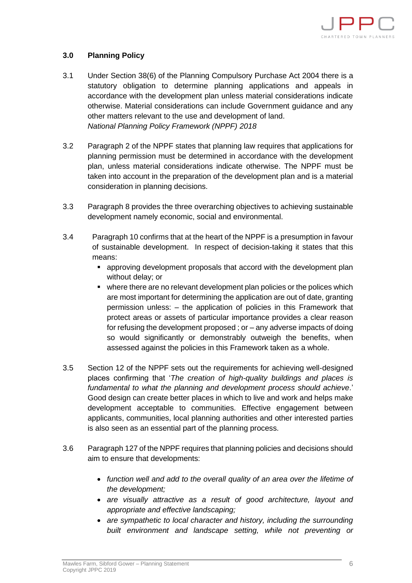

## **3.0 Planning Policy**

- 3.1 Under Section 38(6) of the Planning Compulsory Purchase Act 2004 there is a statutory obligation to determine planning applications and appeals in accordance with the development plan unless material considerations indicate otherwise. Material considerations can include Government guidance and any other matters relevant to the use and development of land. *National Planning Policy Framework (NPPF) 2018*
- 3.2 Paragraph 2 of the NPPF states that planning law requires that applications for planning permission must be determined in accordance with the development plan, unless material considerations indicate otherwise. The NPPF must be taken into account in the preparation of the development plan and is a material consideration in planning decisions.
- 3.3 Paragraph 8 provides the three overarching objectives to achieving sustainable development namely economic, social and environmental.
- 3.4 Paragraph 10 confirms that at the heart of the NPPF is a presumption in favour of sustainable development. In respect of decision-taking it states that this means:
	- approving development proposals that accord with the development plan without delay; or
	- where there are no relevant development plan policies or the polices which are most important for determining the application are out of date, granting permission unless: – the application of policies in this Framework that protect areas or assets of particular importance provides a clear reason for refusing the development proposed ; or – any adverse impacts of doing so would significantly or demonstrably outweigh the benefits, when assessed against the policies in this Framework taken as a whole.
- 3.5 Section 12 of the NPPF sets out the requirements for achieving well-designed places confirming that '*The creation of high-quality buildings and places is fundamental to what the planning and development process should achieve*.' Good design can create better places in which to live and work and helps make development acceptable to communities. Effective engagement between applicants, communities, local planning authorities and other interested parties is also seen as an essential part of the planning process.
- 3.6 Paragraph 127 of the NPPF requires that planning policies and decisions should aim to ensure that developments:
	- *function well and add to the overall quality of an area over the lifetime of the development;*
	- *are visually attractive as a result of good architecture, layout and appropriate and effective landscaping;*
	- *are sympathetic to local character and history, including the surrounding built environment and landscape setting, while not preventing or*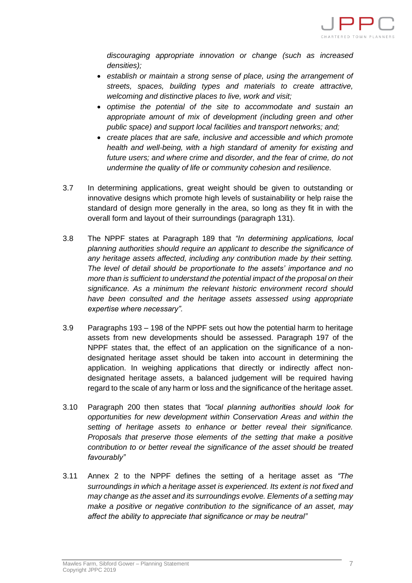

*discouraging appropriate innovation or change (such as increased densities);*

- *establish or maintain a strong sense of place, using the arrangement of streets, spaces, building types and materials to create attractive, welcoming and distinctive places to live, work and visit;*
- *optimise the potential of the site to accommodate and sustain an appropriate amount of mix of development (including green and other public space) and support local facilities and transport networks; and;*
- *create places that are safe, inclusive and accessible and which promote health and well-being, with a high standard of amenity for existing and future users; and where crime and disorder, and the fear of crime, do not undermine the quality of life or community cohesion and resilience.*
- 3.7 In determining applications, great weight should be given to outstanding or innovative designs which promote high levels of sustainability or help raise the standard of design more generally in the area, so long as they fit in with the overall form and layout of their surroundings (paragraph 131).
- 3.8 The NPPF states at Paragraph 189 that *"In determining applications, local planning authorities should require an applicant to describe the significance of any heritage assets affected, including any contribution made by their setting. The level of detail should be proportionate to the assets' importance and no more than is sufficient to understand the potential impact of the proposal on their significance. As a minimum the relevant historic environment record should have been consulted and the heritage assets assessed using appropriate expertise where necessary".*
- 3.9 Paragraphs 193 198 of the NPPF sets out how the potential harm to heritage assets from new developments should be assessed. Paragraph 197 of the NPPF states that, the effect of an application on the significance of a nondesignated heritage asset should be taken into account in determining the application. In weighing applications that directly or indirectly affect nondesignated heritage assets, a balanced judgement will be required having regard to the scale of any harm or loss and the significance of the heritage asset.
- 3.10 Paragraph 200 then states that *"local planning authorities should look for opportunities for new development within Conservation Areas and within the setting of heritage assets to enhance or better reveal their significance. Proposals that preserve those elements of the setting that make a positive contribution to or better reveal the significance of the asset should be treated favourably"*
- 3.11 Annex 2 to the NPPF defines the setting of a heritage asset as *"The surroundings in which a heritage asset is experienced. Its extent is not fixed and may change as the asset and its surroundings evolve. Elements of a setting may make a positive or negative contribution to the significance of an asset, may affect the ability to appreciate that significance or may be neutral"*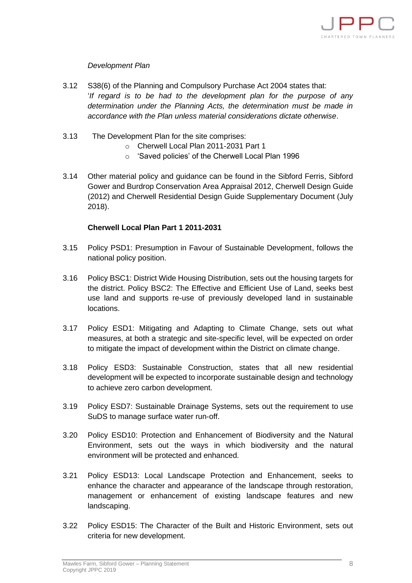

## *Development Plan*

- 3.12 S38(6) of the Planning and Compulsory Purchase Act 2004 states that: '*If regard is to be had to the development plan for the purpose of any determination under the Planning Acts, the determination must be made in accordance with the Plan unless material considerations dictate otherwise*.
- 3.13 The Development Plan for the site comprises:
	- o Cherwell Local Plan 2011-2031 Part 1
	- o 'Saved policies' of the Cherwell Local Plan 1996
- 3.14 Other material policy and guidance can be found in the Sibford Ferris, Sibford Gower and Burdrop Conservation Area Appraisal 2012, Cherwell Design Guide (2012) and Cherwell Residential Design Guide Supplementary Document (July 2018).

#### **Cherwell Local Plan Part 1 2011-2031**

- 3.15 Policy PSD1: Presumption in Favour of Sustainable Development, follows the national policy position.
- 3.16 Policy BSC1: District Wide Housing Distribution, sets out the housing targets for the district. Policy BSC2: The Effective and Efficient Use of Land, seeks best use land and supports re-use of previously developed land in sustainable locations.
- 3.17 Policy ESD1: Mitigating and Adapting to Climate Change, sets out what measures, at both a strategic and site-specific level, will be expected on order to mitigate the impact of development within the District on climate change.
- 3.18 Policy ESD3: Sustainable Construction, states that all new residential development will be expected to incorporate sustainable design and technology to achieve zero carbon development.
- 3.19 Policy ESD7: Sustainable Drainage Systems, sets out the requirement to use SuDS to manage surface water run-off.
- 3.20 Policy ESD10: Protection and Enhancement of Biodiversity and the Natural Environment, sets out the ways in which biodiversity and the natural environment will be protected and enhanced.
- 3.21 Policy ESD13: Local Landscape Protection and Enhancement, seeks to enhance the character and appearance of the landscape through restoration, management or enhancement of existing landscape features and new landscaping.
- 3.22 Policy ESD15: The Character of the Built and Historic Environment, sets out criteria for new development.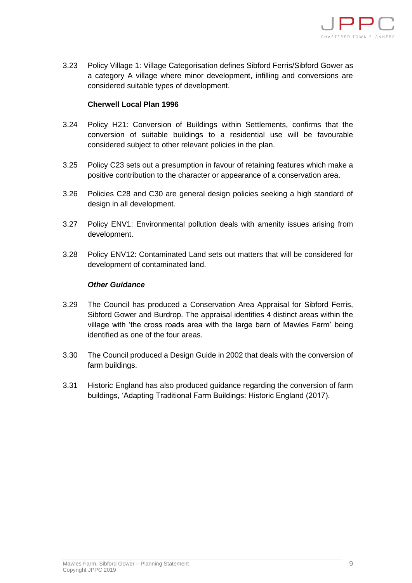

3.23 Policy Village 1: Village Categorisation defines Sibford Ferris/Sibford Gower as a category A village where minor development, infilling and conversions are considered suitable types of development.

### **Cherwell Local Plan 1996**

- 3.24 Policy H21: Conversion of Buildings within Settlements, confirms that the conversion of suitable buildings to a residential use will be favourable considered subject to other relevant policies in the plan.
- 3.25 Policy C23 sets out a presumption in favour of retaining features which make a positive contribution to the character or appearance of a conservation area.
- 3.26 Policies C28 and C30 are general design policies seeking a high standard of design in all development.
- 3.27 Policy ENV1: Environmental pollution deals with amenity issues arising from development.
- 3.28 Policy ENV12: Contaminated Land sets out matters that will be considered for development of contaminated land.

#### *Other Guidance*

- 3.29 The Council has produced a Conservation Area Appraisal for Sibford Ferris, Sibford Gower and Burdrop. The appraisal identifies 4 distinct areas within the village with 'the cross roads area with the large barn of Mawles Farm' being identified as one of the four areas.
- 3.30 The Council produced a Design Guide in 2002 that deals with the conversion of farm buildings.
- 3.31 Historic England has also produced guidance regarding the conversion of farm buildings, 'Adapting Traditional Farm Buildings: Historic England (2017).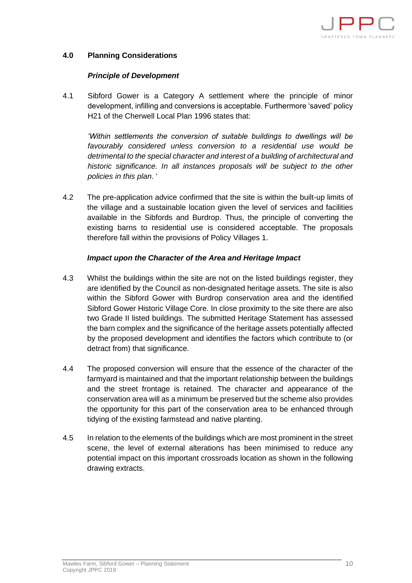

## **4.0 Planning Considerations**

#### *Principle of Development*

4.1 Sibford Gower is a Category A settlement where the principle of minor development, infilling and conversions is acceptable. Furthermore 'saved' policy H21 of the Cherwell Local Plan 1996 states that:

*'Within settlements the conversion of suitable buildings to dwellings will be favourably considered unless conversion to a residential use would be detrimental to the special character and interest of a building of architectural and historic significance. In all instances proposals will be subject to the other policies in this plan*. '

4.2 The pre-application advice confirmed that the site is within the built-up limits of the village and a sustainable location given the level of services and facilities available in the Sibfords and Burdrop. Thus, the principle of converting the existing barns to residential use is considered acceptable. The proposals therefore fall within the provisions of Policy Villages 1.

#### *Impact upon the Character of the Area and Heritage Impact*

- 4.3 Whilst the buildings within the site are not on the listed buildings register, they are identified by the Council as non-designated heritage assets. The site is also within the Sibford Gower with Burdrop conservation area and the identified Sibford Gower Historic Village Core. In close proximity to the site there are also two Grade II listed buildings. The submitted Heritage Statement has assessed the barn complex and the significance of the heritage assets potentially affected by the proposed development and identifies the factors which contribute to (or detract from) that significance.
- 4.4 The proposed conversion will ensure that the essence of the character of the farmyard is maintained and that the important relationship between the buildings and the street frontage is retained. The character and appearance of the conservation area will as a minimum be preserved but the scheme also provides the opportunity for this part of the conservation area to be enhanced through tidying of the existing farmstead and native planting.
- 4.5 In relation to the elements of the buildings which are most prominent in the street scene, the level of external alterations has been minimised to reduce any potential impact on this important crossroads location as shown in the following drawing extracts.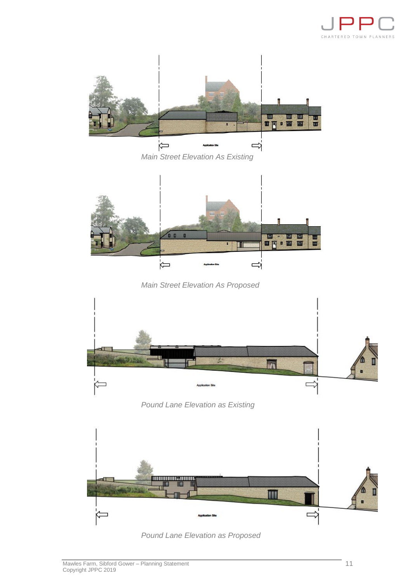



*Main Street Elevation As Existing* 



*Main Street Elevation As Proposed*



*Pound Lane Elevation as Existing*



*Pound Lane Elevation as Proposed*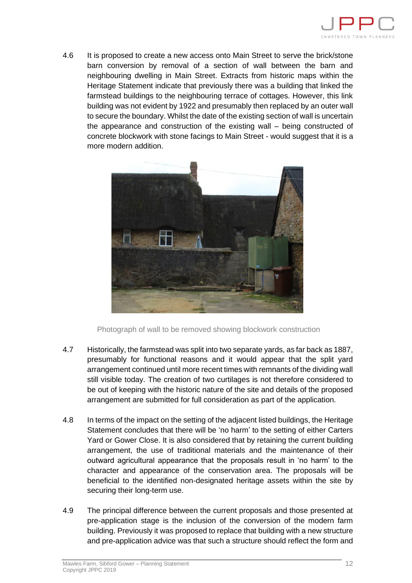

4.6 It is proposed to create a new access onto Main Street to serve the brick/stone barn conversion by removal of a section of wall between the barn and neighbouring dwelling in Main Street. Extracts from historic maps within the Heritage Statement indicate that previously there was a building that linked the farmstead buildings to the neighbouring terrace of cottages. However, this link building was not evident by 1922 and presumably then replaced by an outer wall to secure the boundary. Whilst the date of the existing section of wall is uncertain the appearance and construction of the existing wall – being constructed of concrete blockwork with stone facings to Main Street - would suggest that it is a more modern addition.



Photograph of wall to be removed showing blockwork construction

- 4.7 Historically, the farmstead was split into two separate yards, as far back as 1887, presumably for functional reasons and it would appear that the split yard arrangement continued until more recent times with remnants of the dividing wall still visible today. The creation of two curtilages is not therefore considered to be out of keeping with the historic nature of the site and details of the proposed arrangement are submitted for full consideration as part of the application.
- 4.8 In terms of the impact on the setting of the adjacent listed buildings, the Heritage Statement concludes that there will be 'no harm' to the setting of either Carters Yard or Gower Close. It is also considered that by retaining the current building arrangement, the use of traditional materials and the maintenance of their outward agricultural appearance that the proposals result in 'no harm' to the character and appearance of the conservation area. The proposals will be beneficial to the identified non-designated heritage assets within the site by securing their long-term use.
- 4.9 The principal difference between the current proposals and those presented at pre-application stage is the inclusion of the conversion of the modern farm building. Previously it was proposed to replace that building with a new structure and pre-application advice was that such a structure should reflect the form and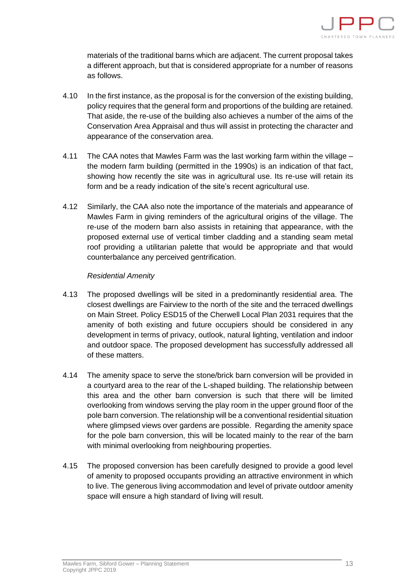

materials of the traditional barns which are adjacent. The current proposal takes a different approach, but that is considered appropriate for a number of reasons as follows.

- 4.10 In the first instance, as the proposal is for the conversion of the existing building, policy requires that the general form and proportions of the building are retained. That aside, the re-use of the building also achieves a number of the aims of the Conservation Area Appraisal and thus will assist in protecting the character and appearance of the conservation area.
- 4.11 The CAA notes that Mawles Farm was the last working farm within the village the modern farm building (permitted in the 1990s) is an indication of that fact, showing how recently the site was in agricultural use. Its re-use will retain its form and be a ready indication of the site's recent agricultural use.
- 4.12 Similarly, the CAA also note the importance of the materials and appearance of Mawles Farm in giving reminders of the agricultural origins of the village. The re-use of the modern barn also assists in retaining that appearance, with the proposed external use of vertical timber cladding and a standing seam metal roof providing a utilitarian palette that would be appropriate and that would counterbalance any perceived gentrification.

#### *Residential Amenity*

- 4.13 The proposed dwellings will be sited in a predominantly residential area. The closest dwellings are Fairview to the north of the site and the terraced dwellings on Main Street. Policy ESD15 of the Cherwell Local Plan 2031 requires that the amenity of both existing and future occupiers should be considered in any development in terms of privacy, outlook, natural lighting, ventilation and indoor and outdoor space. The proposed development has successfully addressed all of these matters.
- 4.14 The amenity space to serve the stone/brick barn conversion will be provided in a courtyard area to the rear of the L-shaped building. The relationship between this area and the other barn conversion is such that there will be limited overlooking from windows serving the play room in the upper ground floor of the pole barn conversion. The relationship will be a conventional residential situation where glimpsed views over gardens are possible. Regarding the amenity space for the pole barn conversion, this will be located mainly to the rear of the barn with minimal overlooking from neighbouring properties.
- 4.15 The proposed conversion has been carefully designed to provide a good level of amenity to proposed occupants providing an attractive environment in which to live. The generous living accommodation and level of private outdoor amenity space will ensure a high standard of living will result.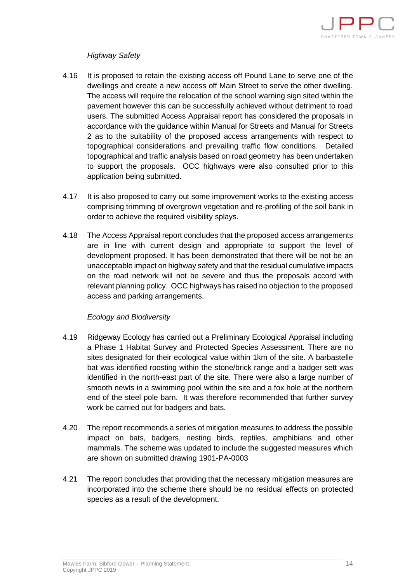

# *Highway Safety*

- 4.16 It is proposed to retain the existing access off Pound Lane to serve one of the dwellings and create a new access off Main Street to serve the other dwelling. The access will require the relocation of the school warning sign sited within the pavement however this can be successfully achieved without detriment to road users. The submitted Access Appraisal report has considered the proposals in accordance with the guidance within Manual for Streets and Manual for Streets 2 as to the suitability of the proposed access arrangements with respect to topographical considerations and prevailing traffic flow conditions. Detailed topographical and traffic analysis based on road geometry has been undertaken to support the proposals. OCC highways were also consulted prior to this application being submitted.
- 4.17 It is also proposed to carry out some improvement works to the existing access comprising trimming of overgrown vegetation and re-profiling of the soil bank in order to achieve the required visibility splays.
- 4.18 The Access Appraisal report concludes that the proposed access arrangements are in line with current design and appropriate to support the level of development proposed. It has been demonstrated that there will be not be an unacceptable impact on highway safety and that the residual cumulative impacts on the road network will not be severe and thus the proposals accord with relevant planning policy. OCC highways has raised no objection to the proposed access and parking arrangements.

#### *Ecology and Biodiversity*

- 4.19 Ridgeway Ecology has carried out a Preliminary Ecological Appraisal including a Phase 1 Habitat Survey and Protected Species Assessment. There are no sites designated for their ecological value within 1km of the site. A barbastelle bat was identified roosting within the stone/brick range and a badger sett was identified in the north-east part of the site. There were also a large number of smooth newts in a swimming pool within the site and a fox hole at the northern end of the steel pole barn. It was therefore recommended that further survey work be carried out for badgers and bats.
- 4.20 The report recommends a series of mitigation measures to address the possible impact on bats, badgers, nesting birds, reptiles, amphibians and other mammals. The scheme was updated to include the suggested measures which are shown on submitted drawing 1901-PA-0003
- 4.21 The report concludes that providing that the necessary mitigation measures are incorporated into the scheme there should be no residual effects on protected species as a result of the development.